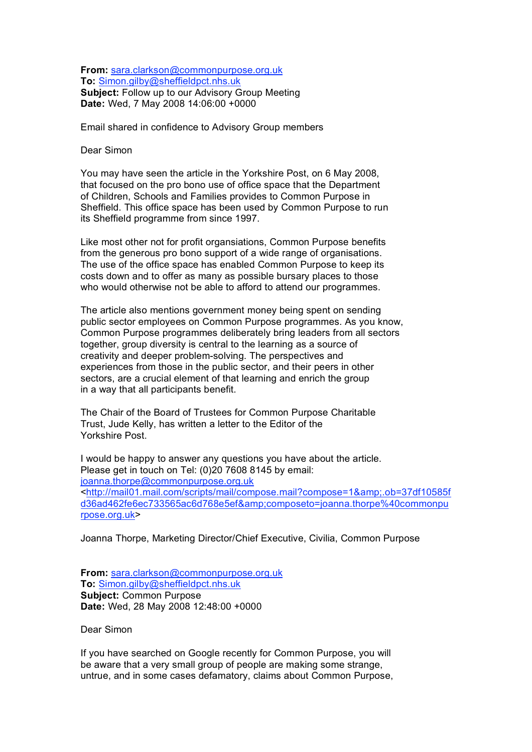**From:** sara.clarkson@commonpurpose.org.uk **To:** Simon.gilby@sheffieldpct.nhs.uk **Subject:** Follow up to our Advisory Group Meeting **Date:** Wed, 7 May 2008 14:06:00 +0000

Email shared in confidence to Advisory Group members

Dear Simon

You may have seen the article in the Yorkshire Post, on 6 May 2008, that focused on the pro bono use of office space that the Department of Children, Schools and Families provides to Common Purpose in Sheffield. This office space has been used by Common Purpose to run its Sheffield programme from since 1997.

Like most other not for profit organsiations, Common Purpose benefits from the generous pro bono support of a wide range of organisations. The use of the office space has enabled Common Purpose to keep its costs down and to offer as many as possible bursary places to those who would otherwise not be able to afford to attend our programmes.

The article also mentions government money being spent on sending public sector employees on Common Purpose programmes. As you know, Common Purpose programmes deliberately bring leaders from all sectors together, group diversity is central to the learning as a source of creativity and deeper problem-solving. The perspectives and experiences from those in the public sector, and their peers in other sectors, are a crucial element of that learning and enrich the group in a way that all participants benefit.

The Chair of the Board of Trustees for Common Purpose Charitable Trust, Jude Kelly, has written a letter to the Editor of the Yorkshire Post.

I would be happy to answer any questions you have about the article. Please get in touch on Tel: (0)20 7608 8145 by email: joanna.thorpe@commonpurpose.org.uk <http://mail01.mail.com/scripts/mail/compose.mail?compose=1&amp;.ob=37df10585f d36ad462fe6ec733565ac6d768e5ef&composeto=joanna.thorpe%40commonpu rpose.org.uk>

Joanna Thorpe, Marketing Director/Chief Executive, Civilia, Common Purpose

**From:** sara.clarkson@commonpurpose.org.uk **To:** Simon.gilby@sheffieldpct.nhs.uk **Subject:** Common Purpose **Date:** Wed, 28 May 2008 12:48:00 +0000

Dear Simon

If you have searched on Google recently for Common Purpose, you will be aware that a very small group of people are making some strange, untrue, and in some cases defamatory, claims about Common Purpose,